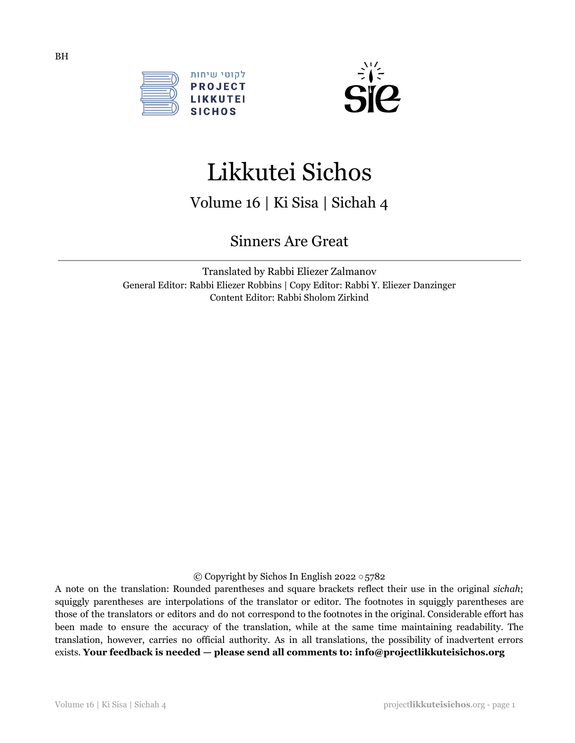



# Likkutei Sichos

Volume 16 | Ki Sisa | Sichah 4

Sinners Are Great

Translated by Rabbi Eliezer Zalmanov General Editor: Rabbi Eliezer Robbins | Copy Editor: Rabbi Y. Eliezer Danzinger Content Editor: Rabbi Sholom Zirkind

© Copyright by Sichos In English 2022 ○5782

A note on the translation: Rounded parentheses and square brackets reflect their use in the original *sichah*; squiggly parentheses are interpolations of the translator or editor. The footnotes in squiggly parentheses are those of the translators or editors and do not correspond to the footnotes in the original. Considerable effort has been made to ensure the accuracy of the translation, while at the same time maintaining readability. The translation, however, carries no official authority. As in all translations, the possibility of inadvertent errors exists. **Your feedback is needed — please send all comments to: info@projectlikkuteisichos.org**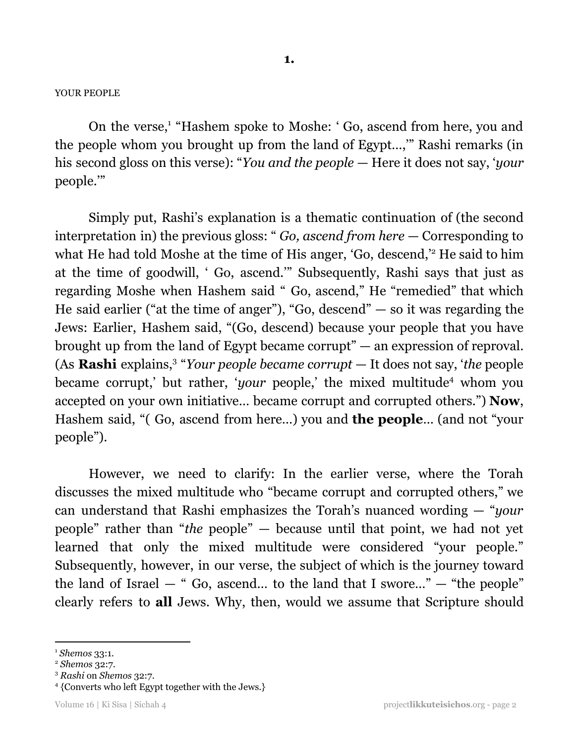#### YOUR PEOPLE

On the verse,<sup>1</sup> "Hashem spoke to Moshe: 'Go, ascend from here, you and the people whom you brought up from the land of Egypt…,'" Rashi remarks (in his second gloss on this verse): "*You and the people* — Here it does not say, '*your* people.'"

Simply put, Rashi's explanation is a thematic continuation of (the second interpretation in) the previous gloss: " *Go, ascend from here* — Corresponding to what He had told Moshe at the time of His anger, 'Go, descend,' <sup>2</sup> He said to him at the time of goodwill, ' Go, ascend.'" Subsequently, Rashi says that just as regarding Moshe when Hashem said " Go, ascend," He "remedied" that which He said earlier ("at the time of anger"), "Go, descend"  $-$  so it was regarding the Jews: Earlier, Hashem said, "(Go, descend) because your people that you have brought up from the land of Egypt became corrupt" — an expression of reproval. (As **Rashi** explains,<sup>3</sup> "*Your people became corrupt* — It does not say, '*the* people became corrupt,' but rather, '*your* people,' the mixed multitude<sup>4</sup> whom you accepted on your own initiative… became corrupt and corrupted others.") **Now**, Hashem said, "( Go, ascend from here…) you and **the people**… (and not "your people").

However, we need to clarify: In the earlier verse, where the Torah discusses the mixed multitude who "became corrupt and corrupted others," we can understand that Rashi emphasizes the Torah's nuanced wording — "*your* people" rather than "*the* people" — because until that point, we had not yet learned that only the mixed multitude were considered "your people." Subsequently, however, in our verse, the subject of which is the journey toward the land of Israel  $-$  " Go, ascend... to the land that I swore..."  $-$  "the people" clearly refers to **all** Jews. Why, then, would we assume that Scripture should

<sup>1</sup> *Shemos* 33:1.

<sup>2</sup> *Shemos* 32:7.

<sup>3</sup> *Rashi* on *Shemos* 32:7.

<sup>4</sup> {Converts who left Egypt together with the Jews.}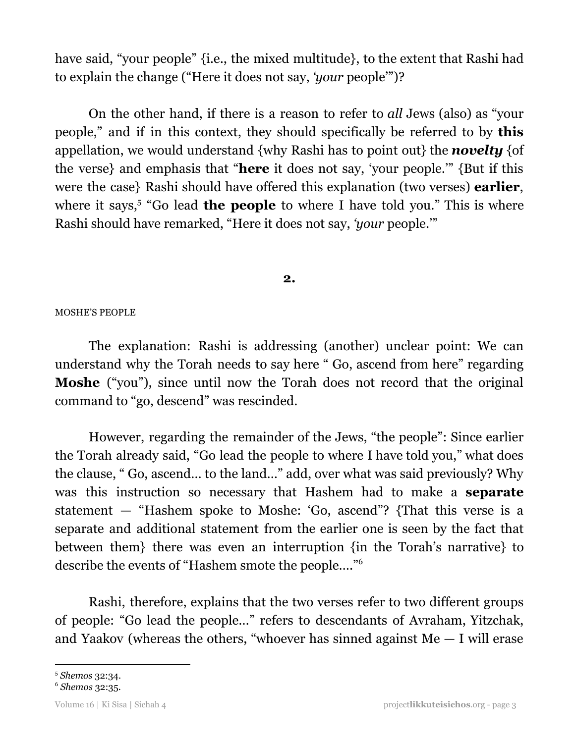have said, "your people" {i.e., the mixed multitude}, to the extent that Rashi had to explain the change ("Here it does not say, *'your* people'")?

On the other hand, if there is a reason to refer to *all* Jews (also) as "your people," and if in this context, they should specifically be referred to by **this** appellation, we would understand {why Rashi has to point out} the *novelty* {of the verse} and emphasis that "**here** it does not say, 'your people.'" {But if this were the case} Rashi should have offered this explanation (two verses) **earlier**, where it says,<sup>5</sup> "Go lead **the people** to where I have told you." This is where Rashi should have remarked, "Here it does not say, *'your* people.'"

**2.**

## MOSHE'S PEOPLE

The explanation: Rashi is addressing (another) unclear point: We can understand why the Torah needs to say here " Go, ascend from here" regarding **Moshe** ("you"), since until now the Torah does not record that the original command to "go, descend" was rescinded.

However, regarding the remainder of the Jews, "the people": Since earlier the Torah already said, "Go lead the people to where I have told you," what does the clause, " Go, ascend… to the land…" add, over what was said previously? Why was this instruction so necessary that Hashem had to make a **separate** statement — "Hashem spoke to Moshe: 'Go, ascend"? {That this verse is a separate and additional statement from the earlier one is seen by the fact that between them} there was even an interruption {in the Torah's narrative} to describe the events of "Hashem smote the people…." 6

Rashi, therefore, explains that the two verses refer to two different groups of people: "Go lead the people…" refers to descendants of Avraham, Yitzchak, and Yaakov (whereas the others, "whoever has sinned against  $Me - I$  will erase

<sup>5</sup> *Shemos* 32:34.

<sup>6</sup> *Shemos* 32:35.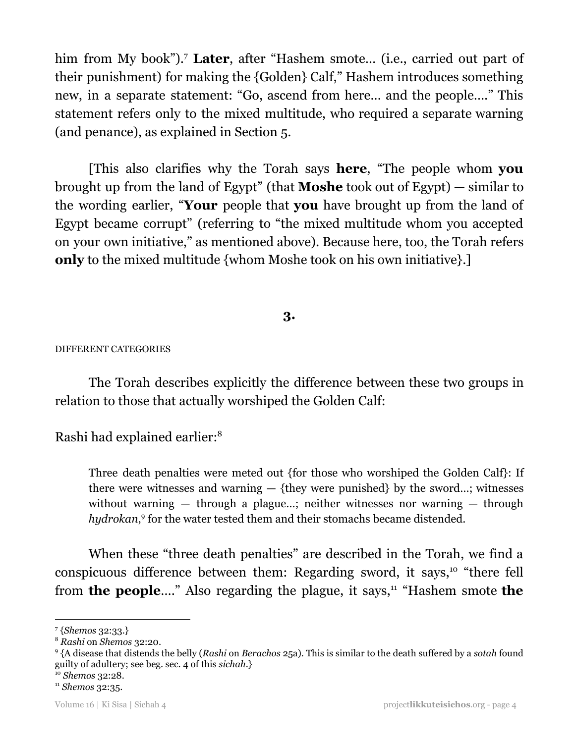him from My book").<sup>7</sup> Later, after "Hashem smote... (i.e., carried out part of their punishment) for making the {Golden} Calf," Hashem introduces something new, in a separate statement: "Go, ascend from here… and the people…." This statement refers only to the mixed multitude, who required a separate warning (and penance), as explained in Section 5.

[This also clarifies why the Torah says **here**, "The people whom **you** brought up from the land of Egypt" (that **Moshe** took out of Egypt) — similar to the wording earlier, "**Your** people that **you** have brought up from the land of Egypt became corrupt" (referring to "the mixed multitude whom you accepted on your own initiative," as mentioned above). Because here, too, the Torah refers **only** to the mixed multitude {whom Moshe took on his own initiative}.]

# **3.**

## DIFFERENT CATEGORIES

The Torah describes explicitly the difference between these two groups in relation to those that actually worshiped the Golden Calf:

Rashi had explained earlier: 8

Three death penalties were meted out {for those who worshiped the Golden Calf}: If there were witnesses and warning  $-$  {they were punished} by the sword...; witnesses without warning  $-$  through a plague...; neither witnesses nor warning  $-$  through *hydrokan*,<sup>9</sup> for the water tested them and their stomachs became distended.

When these "three death penalties" are described in the Torah, we find a conspicuous difference between them: Regarding sword, it says,<sup>10</sup> "there fell from **the people....**" Also regarding the plague, it says,<sup>11</sup> "Hashem smote the

<sup>7</sup> {*Shemos* 32:33.}

<sup>8</sup> *Rashi* on *Shemos* 32:20.

<sup>9</sup> {A disease that distends the belly (*Rashi* on *Berachos* 25a). This is similar to the death suffered by a *sotah* found guilty of adultery; see beg. sec. 4 of this *sichah*.}

<sup>10</sup> *Shemos* 32:28.

<sup>11</sup> *Shemos* 32:35.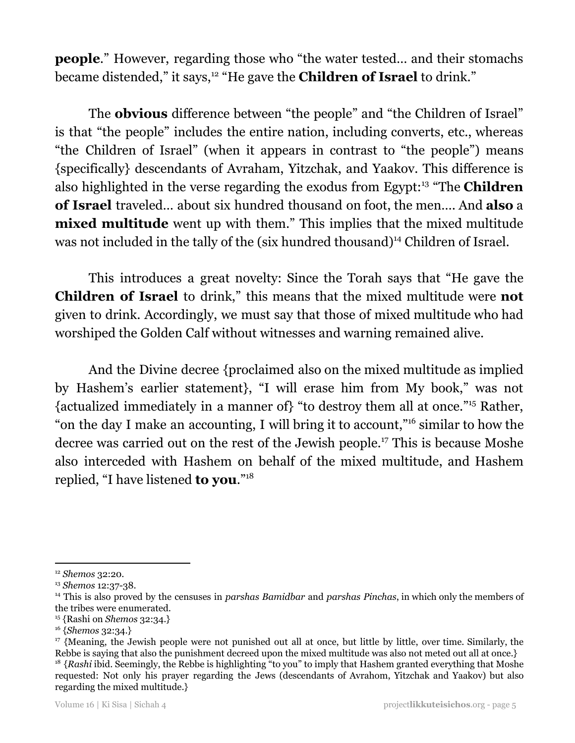**people.**" However, regarding those who "the water tested... and their stomachs" became distended," it says,<sup>12</sup> "He gave the **Children of Israel** to drink."

The **obvious** difference between "the people" and "the Children of Israel" is that "the people" includes the entire nation, including converts, etc., whereas "the Children of Israel" (when it appears in contrast to "the people") means {specifically} descendants of Avraham, Yitzchak, and Yaakov. This difference is also highlighted in the verse regarding the exodus from Egypt:<sup>13</sup> "The **Children of Israel** traveled… about six hundred thousand on foot, the men…. And **also** a **mixed multitude** went up with them." This implies that the mixed multitude was not included in the tally of the (six hundred thousand)<sup>14</sup> Children of Israel.

This introduces a great novelty: Since the Torah says that "He gave the **Children of Israel** to drink," this means that the mixed multitude were **not** given to drink. Accordingly, we must say that those of mixed multitude who had worshiped the Golden Calf without witnesses and warning remained alive.

And the Divine decree {proclaimed also on the mixed multitude as implied by Hashem's earlier statement}, "I will erase him from My book," was not {actualized immediately in a manner of} "to destroy them all at once."<sup>15</sup> Rather, "on the day I make an accounting, I will bring it to account,"<sup>16</sup> similar to how the decree was carried out on the rest of the Jewish people.<sup>17</sup> This is because Moshe also interceded with Hashem on behalf of the mixed multitude, and Hashem replied, "I have listened **to you**." 18

<sup>15</sup> {Rashi on *Shemos* 32:34.}

<sup>12</sup> *Shemos* 32:20.

<sup>13</sup> *Shemos* 12:37-38.

<sup>14</sup> This is also proved by the censuses in *parshas Bamidbar* and *parshas Pinchas*, in which only the members of the tribes were enumerated.

<sup>16</sup> {*Shemos* 32:34.}

<sup>&</sup>lt;sup>18</sup> {*Rashi* ibid. Seemingly, the Rebbe is highlighting "to you" to imply that Hashem granted everything that Moshe requested: Not only his prayer regarding the Jews (descendants of Avrahom, Yitzchak and Yaakov) but also regarding the mixed multitude.} <sup>17</sup> {Meaning, the Jewish people were not punished out all at once, but little by little, over time. Similarly, the Rebbe is saying that also the punishment decreed upon the mixed multitude was also not meted out all at once.}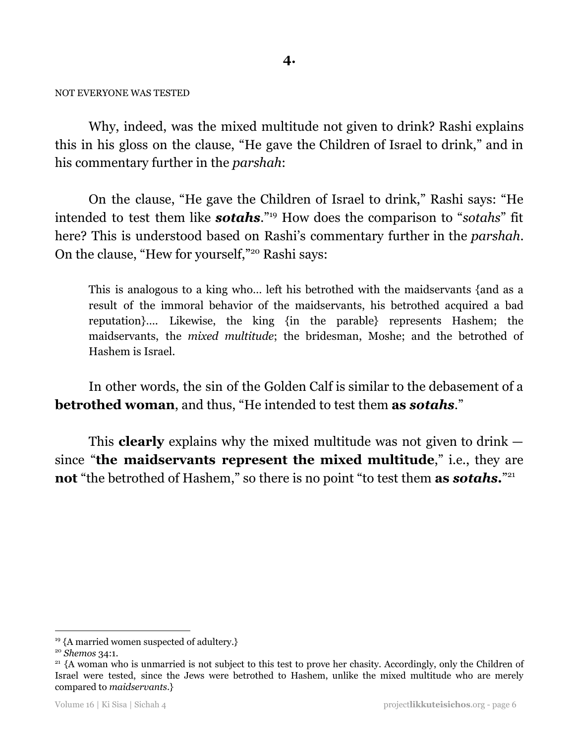## NOT EVERYONE WAS TESTED

Why, indeed, was the mixed multitude not given to drink? Rashi explains this in his gloss on the clause, "He gave the Children of Israel to drink," and in his commentary further in the *parshah*:

On the clause, "He gave the Children of Israel to drink," Rashi says: "He intended to test them like **sotahs**."<sup>19</sup> How does the comparison to "sotahs" fit here? This is understood based on Rashi's commentary further in the *parshah*. On the clause, "Hew for yourself,"<sup>20</sup> Rashi says:

This is analogous to a king who… left his betrothed with the maidservants {and as a result of the immoral behavior of the maidservants, his betrothed acquired a bad reputation}…. Likewise, the king {in the parable} represents Hashem; the maidservants, the *mixed multitude*; the bridesman, Moshe; and the betrothed of Hashem is Israel.

In other words, the sin of the Golden Calf is similar to the debasement of a **betrothed woman**, and thus, "He intended to test them **as** *sotahs*."

This **clearly** explains why the mixed multitude was not given to drink since "**the maidservants represent the mixed multitude**," i.e., they are **not** "the betrothed of Hashem," so there is no point "to test them **as** *sotahs***.**" 21

<sup>&</sup>lt;sup>19</sup> {A married women suspected of adultery.}

<sup>20</sup> *Shemos* 34:1.

<sup>&</sup>lt;sup>21</sup> {A woman who is unmarried is not subject to this test to prove her chasity. Accordingly, only the Children of Israel were tested, since the Jews were betrothed to Hashem, unlike the mixed multitude who are merely compared to *maidservants*.}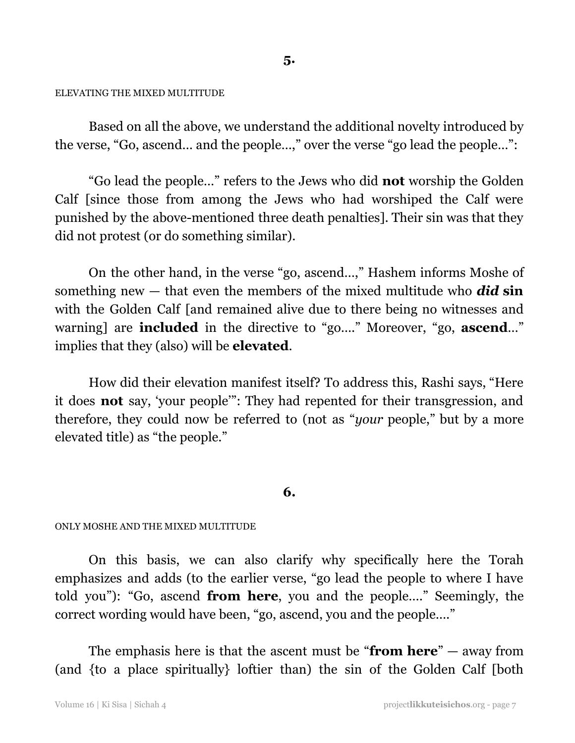#### **5.**

#### ELEVATING THE MIXED MULTITUDE

Based on all the above, we understand the additional novelty introduced by the verse, "Go, ascend… and the people…," over the verse "go lead the people…":

"Go lead the people…" refers to the Jews who did **not** worship the Golden Calf [since those from among the Jews who had worshiped the Calf were punished by the above-mentioned three death penalties]. Their sin was that they did not protest (or do something similar).

On the other hand, in the verse "go, ascend…," Hashem informs Moshe of something new — that even the members of the mixed multitude who *did* **sin** with the Golden Calf [and remained alive due to there being no witnesses and warning] are **included** in the directive to "go…." Moreover, "go, **ascend**…" implies that they (also) will be **elevated**.

How did their elevation manifest itself? To address this, Rashi says, "Here it does **not** say, 'your people'": They had repented for their transgression, and therefore, they could now be referred to (not as "*your* people," but by a more elevated title) as "the people."

## **6.**

#### ONLY MOSHE AND THE MIXED MULTITUDE

On this basis, we can also clarify why specifically here the Torah emphasizes and adds (to the earlier verse, "go lead the people to where I have told you"): "Go, ascend **from here**, you and the people…." Seemingly, the correct wording would have been, "go, ascend, you and the people…."

The emphasis here is that the ascent must be "**from here**" — away from (and {to a place spiritually} loftier than) the sin of the Golden Calf [both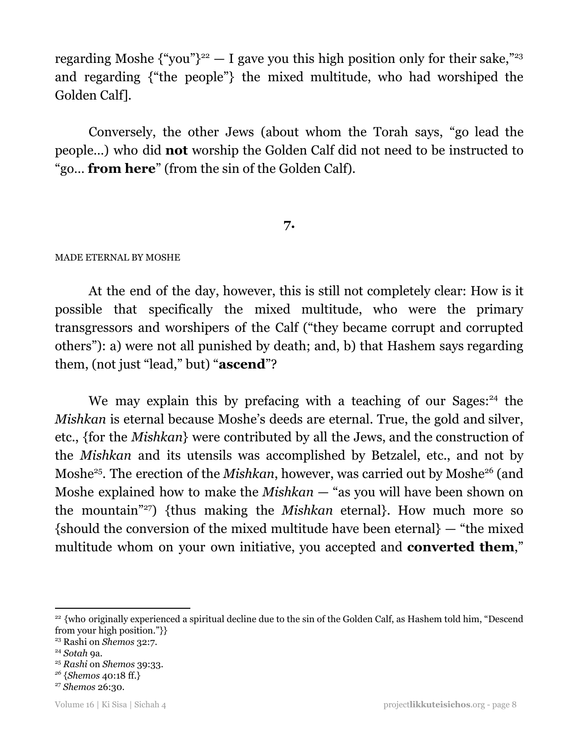regarding Moshe  $\{\text{``you''}\}^{22} - I$  gave you this high position only for their sake,"<sup>23</sup> and regarding {"the people"} the mixed multitude, who had worshiped the Golden Calf].

Conversely, the other Jews (about whom the Torah says, "go lead the people…) who did **not** worship the Golden Calf did not need to be instructed to "go… **from here**" (from the sin of the Golden Calf).

## **7.**

## MADE ETERNAL BY MOSHE

At the end of the day, however, this is still not completely clear: How is it possible that specifically the mixed multitude, who were the primary transgressors and worshipers of the Calf ("they became corrupt and corrupted others"): a) were not all punished by death; and, b) that Hashem says regarding them, (not just "lead," but) "**ascend**"?

We may explain this by prefacing with a teaching of our Sages:<sup>24</sup> the *Mishkan* is eternal because Moshe's deeds are eternal. True, the gold and silver, etc., {for the *Mishkan*} were contributed by all the Jews, and the construction of the *Mishkan* and its utensils was accomplished by Betzalel, etc., and not by Moshe<sup>25</sup>. The erection of the *Mishkan*, however, was carried out by Moshe<sup>26</sup> (and Moshe explained how to make the *Mishkan* — "as you will have been shown on the mountain<sup>"27</sup>) {thus making the *Mishkan* eternal}. How much more so {should the conversion of the mixed multitude have been eternal} — "the mixed multitude whom on your own initiative, you accepted and **converted them**,"

<sup>&</sup>lt;sup>22</sup> {who originally experienced a spiritual decline due to the sin of the Golden Calf, as Hashem told him, "Descend from your high position."}}

<sup>23</sup> Rashi on *Shemos* 32:7.

<sup>24</sup> *Sotah* 9a.

<sup>25</sup> *Rashi* on *Shemos* 39:33.

*<sup>26</sup>* {*Shemos* 40:18 ff.}

<sup>27</sup> *Shemos* 26:30.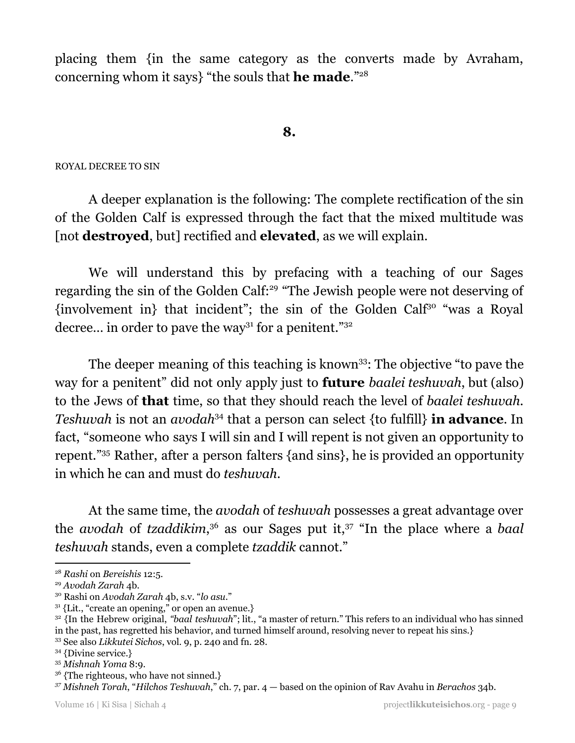placing them {in the same category as the converts made by Avraham, concerning whom it says} "the souls that **he made**." 28

**8.**

### ROYAL DECREE TO SIN

A deeper explanation is the following: The complete rectification of the sin of the Golden Calf is expressed through the fact that the mixed multitude was [not **destroyed**, but] rectified and **elevated**, as we will explain.

We will understand this by prefacing with a teaching of our Sages regarding the sin of the Golden Calf:<sup>29</sup> "The Jewish people were not deserving of  $\{involvement in\}$  that incident"; the sin of the Golden Calf<sup>30</sup> "was a Royal decree... in order to pave the way<sup>31</sup> for a penitent."<sup>32</sup>

The deeper meaning of this teaching is known<sup>33</sup>: The objective "to pave the way for a penitent" did not only apply just to **future** *baalei teshuvah*, but (also) to the Jews of **that** time, so that they should reach the level of *baalei teshuvah.* Teshuvah is not an *avodah*<sup>34</sup> that a person can select {to fulfill} in advance. In fact, "someone who says I will sin and I will repent is not given an opportunity to repent."<sup>35</sup> Rather, after a person falters {and sins}, he is provided an opportunity in which he can and must do *teshuvah*.

At the same time, the *avodah* of *teshuvah* possesses a great advantage over the *avodah* of *tzaddikim*,<sup>36</sup> as our Sages put it,<sup>37</sup> "In the place where a *baal teshuvah* stands, even a complete *tzaddik* cannot."

<sup>28</sup> *Rashi* on *Bereishis* 12:5.

<sup>29</sup> *Avodah Zarah* 4b.

<sup>30</sup> Rashi on *Avodah Zarah* 4b, s.v. "*lo asu*."

 $31$  {Lit., "create an opening," or open an avenue.}

<sup>&</sup>lt;sup>32</sup> {In the Hebrew original, *"baal teshuvah*"; lit., "a master of return." This refers to an individual who has sinned in the past, has regretted his behavior, and turned himself around, resolving never to repeat his sins.}

<sup>33</sup> See also *Likkutei Sichos*, vol. 9, p. 240 and fn. 28.

<sup>34</sup> {Divine service.}

<sup>35</sup> *Mishnah Yoma* 8:9.

<sup>&</sup>lt;sup>36</sup> {The righteous, who have not sinned.}

*<sup>37</sup> Mishneh Torah*, "*Hilchos Teshuvah*," ch. 7, par. 4 — based on the opinion of Rav Avahu in *Berachos* 34b.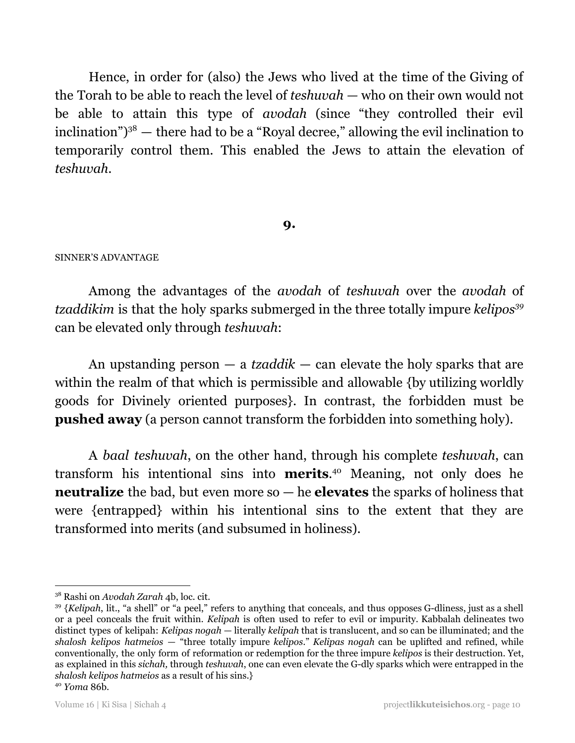Hence, in order for (also) the Jews who lived at the time of the Giving of the Torah to be able to reach the level of *teshuvah —* who on their own would not be able to attain this type of *avodah* (since "they controlled their evil inclination") $3^8$  — there had to be a "Royal decree," allowing the evil inclination to temporarily control them. This enabled the Jews to attain the elevation of *teshuvah*.

## **9.**

## SINNER'S ADVANTAGE

Among the advantages of the *avodah* of *teshuvah* over the *avodah* of *tzaddikim* is that the holy sparks submerged in the three totally impure *kelipos 39* can be elevated only through *teshuvah*:

An upstanding person — a *tzaddik* — can elevate the holy sparks that are within the realm of that which is permissible and allowable {by utilizing worldly goods for Divinely oriented purposes}. In contrast, the forbidden must be **pushed away** (a person cannot transform the forbidden into something holy).

A *baal teshuvah*, on the other hand, through his complete *teshuvah*, can transform his intentional sins into **merits**.<sup>40</sup> Meaning, not only does he **neutralize** the bad, but even more so — he **elevates** the sparks of holiness that were {entrapped} within his intentional sins to the extent that they are transformed into merits (and subsumed in holiness).

<sup>38</sup> Rashi on *Avodah Zarah* 4b, loc. cit.

<sup>&</sup>lt;sup>39</sup> {Kelipah, lit., "a shell" or "a peel," refers to anything that conceals, and thus opposes G-dliness, just as a shell or a peel conceals the fruit within. *Kelipah* is often used to refer to evil or impurity. Kabbalah delineates two distinct types of kelipah: *Kelipas nogah* — literally *kelipah* that is translucent, and so can be illuminated; and the *shalosh kelipos hatmeios* — "three totally impure *kelipos*." *Kelipas nogah* can be uplifted and refined, while conventionally, the only form of reformation or redemption for the three impure *kelipos* is their destruction. Yet, as explained in this *sichah,* through *teshuvah*, one can even elevate the G-dly sparks which were entrapped in the *shalosh kelipos hatmeios* as a result of his sins.}

<sup>40</sup> *Yoma* 86b.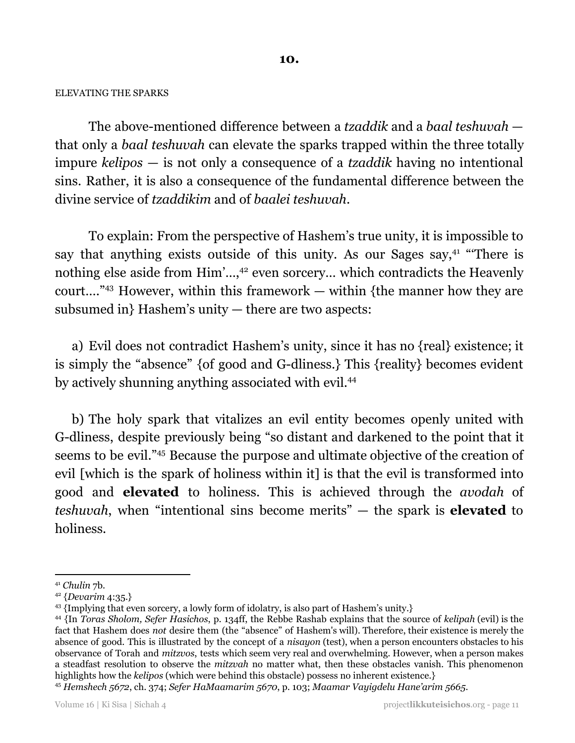### ELEVATING THE SPARKS

The above-mentioned difference between a *tzaddik* and a *baal teshuvah* that only a *baal teshuvah* can elevate the sparks trapped within the three totally impure *kelipos* — is not only a consequence of a *tzaddik* having no intentional sins. Rather, it is also a consequence of the fundamental difference between the divine service of *tzaddikim* and of *baalei teshuvah*.

To explain: From the perspective of Hashem's true unity, it is impossible to say that anything exists outside of this unity. As our Sages say, $41$  "There is nothing else aside from Him'...,<sup>42</sup> even sorcery... which contradicts the Heavenly court...."<sup>43</sup> However, within this framework  $-$  within {the manner how they are subsumed in} Hashem's unity — there are two aspects:

a) Evil does not contradict Hashem's unity, since it has no {real} existence; it is simply the "absence" {of good and G-dliness.} This {reality} becomes evident by actively shunning anything associated with evil.<sup>44</sup>

b) The holy spark that vitalizes an evil entity becomes openly united with G-dliness, despite previously being "so distant and darkened to the point that it seems to be evil."<sup>45</sup> Because the purpose and ultimate objective of the creation of evil [which is the spark of holiness within it] is that the evil is transformed into good and **elevated** to holiness. This is achieved through the *avodah* of *teshuvah*, when "intentional sins become merits" — the spark is **elevated** to holiness.

<sup>41</sup> *Chulin* 7b.

<sup>42</sup> {*Devarim* 4:35.}

<sup>43</sup> {Implying that even sorcery, a lowly form of idolatry, is also part of Hashem's unity.}

<sup>44</sup> {In *Toras Sholom, Sefer Hasichos*, p. 134ff, the Rebbe Rashab explains that the source of *kelipah* (evil) is the fact that Hashem does *not* desire them (the "absence" of Hashem's will). Therefore, their existence is merely the absence of good. This is illustrated by the concept of a *nisayon* (test), when a person encounters obstacles to his observance of Torah and *mitzvos*, tests which seem very real and overwhelming. However, when a person makes a steadfast resolution to observe the *mitzvah* no matter what, then these obstacles vanish. This phenomenon highlights how the *kelipos* (which were behind this obstacle) possess no inherent existence.}

<sup>45</sup> *Hemshech 5672*, ch. 374; *Sefer HaMaamarim 5670*, p. 103; *Maamar Vayigdelu Hane'arim 5665*.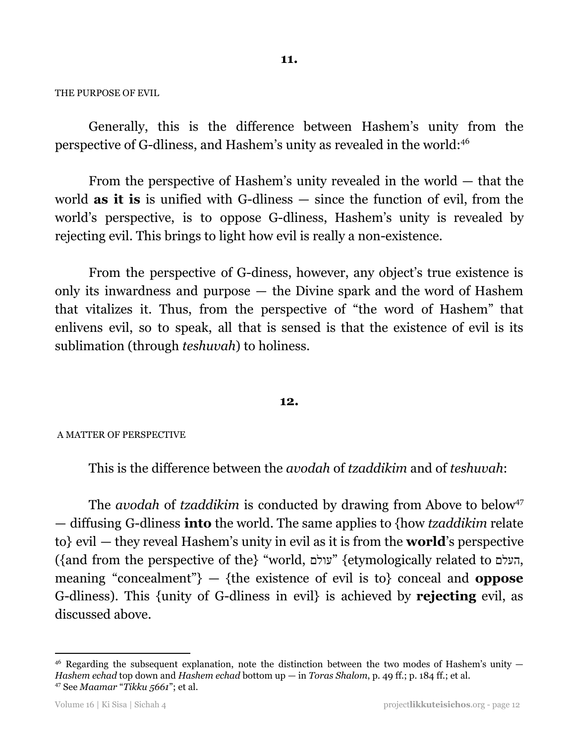THE PURPOSE OF EVIL

Generally, this is the difference between Hashem's unity from the perspective of G-dliness, and Hashem's unity as revealed in the world: 46

From the perspective of Hashem's unity revealed in the world — that the world **as it is** is unified with G-dliness — since the function of evil, from the world's perspective, is to oppose G-dliness, Hashem's unity is revealed by rejecting evil. This brings to light how evil is really a non-existence.

From the perspective of G-diness, however, any object's true existence is only its inwardness and purpose — the Divine spark and the word of Hashem that vitalizes it. Thus, from the perspective of "the word of Hashem" that enlivens evil, so to speak, all that is sensed is that the existence of evil is its sublimation (through *teshuvah*) to holiness.

## **12.**

#### A MATTER OF PERSPECTIVE

This is the difference between the *avodah* of *tzaddikim* and of *teshuvah*:

The *avodah* of *tzaddikim* is conducted by drawing from Above to below 47 — diffusing G-dliness **into** the world. The same applies to {how *tzaddikim* relate to} evil — they reveal Hashem's unity in evil as it is from the **world**'s perspective ({and from the perspective of the} "world, עולם} "etymologically related to העלם, meaning "concealment"} — {the existence of evil is to} conceal and **oppose** G-dliness). This {unity of G-dliness in evil} is achieved by **rejecting** evil, as discussed above.

<sup>47</sup> See *Maamar* "*Tikku 5661*"; et al.  $46$  Regarding the subsequent explanation, note the distinction between the two modes of Hashem's unity  $-$ *Hashem echad* top down and *Hashem echad* bottom up — in *Toras Shalom*, p. 49 ff.; p. 184 ff.; et al.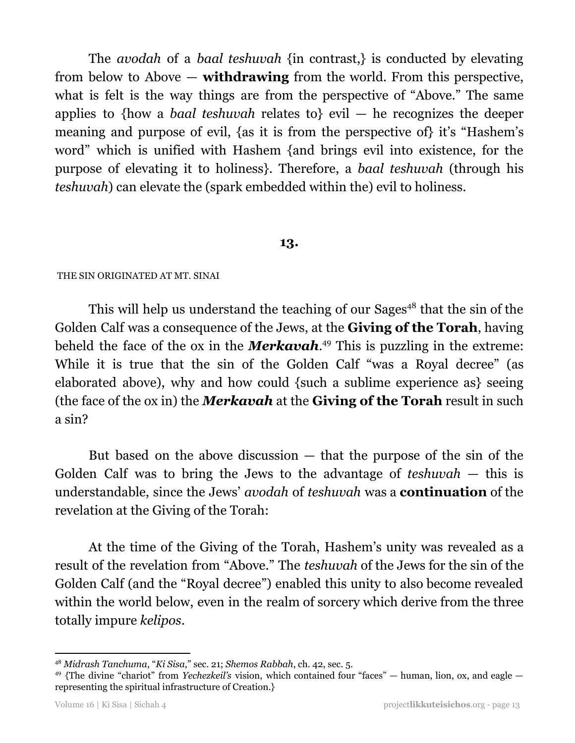The *avodah* of a *baal teshuvah* {in contrast,} is conducted by elevating from below to Above — **withdrawing** from the world. From this perspective, what is felt is the way things are from the perspective of "Above." The same applies to {how a *baal teshuvah* relates to} evil — he recognizes the deeper meaning and purpose of evil, {as it is from the perspective of} it's "Hashem's word" which is unified with Hashem {and brings evil into existence, for the purpose of elevating it to holiness}. Therefore, a *baal teshuvah* (through his *teshuvah*) can elevate the (spark embedded within the) evil to holiness.

## **13.**

## THE SIN ORIGINATED AT MT. SINAI

This will help us understand the teaching of our Sages<sup>48</sup> that the sin of the Golden Calf was a consequence of the Jews, at the **Giving of the Torah**, having beheld the face of the ox in the **Merkavah**.<sup>49</sup> This is puzzling in the extreme: While it is true that the sin of the Golden Calf "was a Royal decree" (as elaborated above), why and how could {such a sublime experience as} seeing (the face of the ox in) the *Merkavah* at the **Giving of the Torah** result in such a sin?

But based on the above discussion  $-$  that the purpose of the sin of the Golden Calf was to bring the Jews to the advantage of *teshuvah* — this is understandable, since the Jews' *avodah* of *teshuvah* was a **continuation** of the revelation at the Giving of the Torah:

At the time of the Giving of the Torah, Hashem's unity was revealed as a result of the revelation from "Above." The *teshuvah* of the Jews for the sin of the Golden Calf (and the "Royal decree") enabled this unity to also become revealed within the world below, even in the realm of sorcery which derive from the three totally impure *kelipos*.

<sup>48</sup> *Midrash Tanchuma*, "*Ki Sisa*," sec. 21; *Shemos Rabbah*, ch. 42, sec. 5.

<sup>49</sup> {The divine "chariot" from *Yechezkeil's* vision, which contained four "faces" — human, lion, ox, and eagle representing the spiritual infrastructure of Creation.}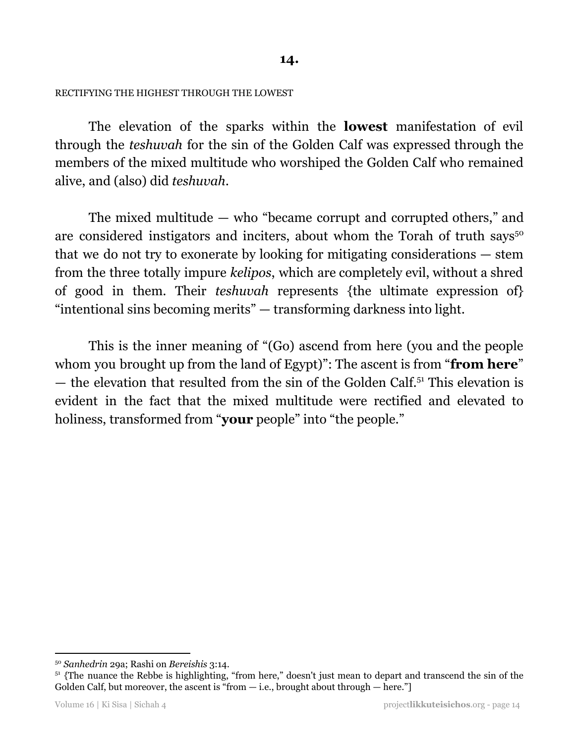## RECTIFYING THE HIGHEST THROUGH THE LOWEST

The elevation of the sparks within the **lowest** manifestation of evil through the *teshuvah* for the sin of the Golden Calf was expressed through the members of the mixed multitude who worshiped the Golden Calf who remained alive, and (also) did *teshuvah*.

The mixed multitude — who "became corrupt and corrupted others," and are considered instigators and inciters, about whom the Torah of truth says<sup>50</sup> that we do not try to exonerate by looking for mitigating considerations — stem from the three totally impure *kelipos*, which are completely evil, without a shred of good in them. Their *teshuvah* represents {the ultimate expression of} "intentional sins becoming merits" — transforming darkness into light.

This is the inner meaning of "(Go) ascend from here (you and the people whom you brought up from the land of Egypt)": The ascent is from "**from here**"  $-$  the elevation that resulted from the sin of the Golden Calf.<sup>51</sup> This elevation is evident in the fact that the mixed multitude were rectified and elevated to holiness, transformed from "**your** people" into "the people."

<sup>50</sup> *Sanhedrin* 29a; Rashi on *Bereishis* 3:14.

<sup>&</sup>lt;sup>51</sup> {The nuance the Rebbe is highlighting, "from here," doesn't just mean to depart and transcend the sin of the Golden Calf, but moreover, the ascent is "from  $-$  i.e., brought about through  $-$  here."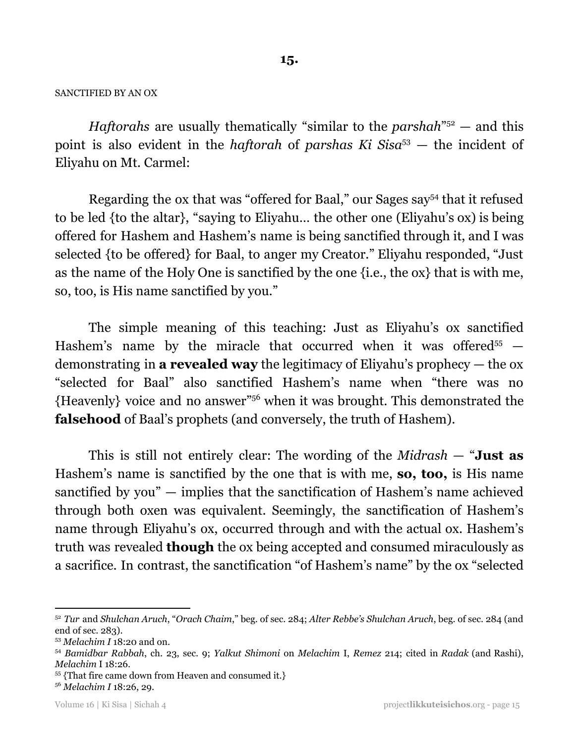#### SANCTIFIED BY AN OX

*Haftorahs* are usually thematically "similar to the *parshah*<sup>752</sup> – and this point is also evident in the *haftorah* of *parshas Ki Sisa*<sup>53</sup> — the incident of Eliyahu on Mt. Carmel:

Regarding the ox that was "offered for Baal," our Sages say<sup>54</sup> that it refused to be led {to the altar}, "saying to Eliyahu… the other one (Eliyahu's ox) is being offered for Hashem and Hashem's name is being sanctified through it, and I was selected {to be offered} for Baal, to anger my Creator." Eliyahu responded, "Just as the name of the Holy One is sanctified by the one {i.e., the ox} that is with me, so, too, is His name sanctified by you."

The simple meaning of this teaching: Just as Eliyahu's ox sanctified Hashem's name by the miracle that occurred when it was offered<sup>55</sup>  $$ demonstrating in **a revealed way** the legitimacy of Eliyahu's prophecy — the ox "selected for Baal" also sanctified Hashem's name when "there was no {Heavenly} voice and no answer"<sup>56</sup> when it was brought. This demonstrated the **falsehood** of Baal's prophets (and conversely, the truth of Hashem).

This is still not entirely clear: The wording of the *Midrash* — "**Just as** Hashem's name is sanctified by the one that is with me, **so, too,** is His name sanctified by you" — implies that the sanctification of Hashem's name achieved through both oxen was equivalent. Seemingly, the sanctification of Hashem's name through Eliyahu's ox, occurred through and with the actual ox. Hashem's truth was revealed **though** the ox being accepted and consumed miraculously as a sacrifice. In contrast, the sanctification "of Hashem's name" by the ox "selected

<sup>52</sup> *Tur* and *Shulchan Aruch*, "*Orach Chaim*," beg. of sec. 284; *Alter Rebbe's Shulchan Aruch*, beg. of sec. 284 (and end of sec. 283).

<sup>53</sup> *Melachim I* 18:20 and on.

<sup>54</sup> *Bamidbar Rabbah*, ch. 23, sec. 9; *Yalkut Shimoni* on *Melachim* I, *Remez* 214; cited in *Radak* (and Rashi), *Melachim* I 18:26.

<sup>55</sup> {That fire came down from Heaven and consumed it.}

<sup>56</sup> *Melachim I* 18:26, 29.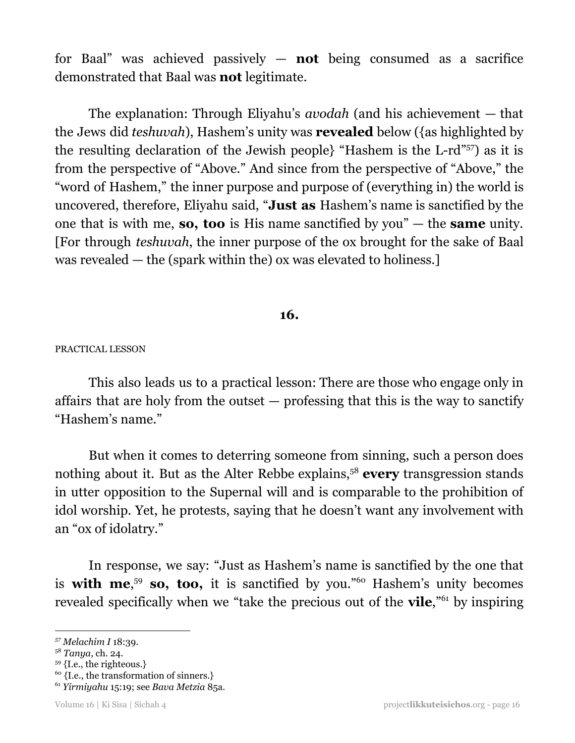for Baal" was achieved passively — **not** being consumed as a sacrifice demonstrated that Baal was **not** legitimate.

The explanation: Through Eliyahu's *avodah* (and his achievement — that the Jews did *teshuvah*), Hashem's unity was **revealed** below ({as highlighted by the resulting declaration of the Jewish people} "Hashem is the L-rd"<sup>57</sup>) as it is from the perspective of "Above." And since from the perspective of "Above," the "word of Hashem," the inner purpose and purpose of (everything in) the world is uncovered, therefore, Eliyahu said, "**Just as** Hashem's name is sanctified by the one that is with me, **so, too** is His name sanctified by you" — the **same** unity. [For through *teshuvah*, the inner purpose of the ox brought for the sake of Baal was revealed — the (spark within the) ox was elevated to holiness.]

## **16.**

## PRACTICAL LESSON

This also leads us to a practical lesson: There are those who engage only in affairs that are holy from the outset — professing that this is the way to sanctify "Hashem's name."

But when it comes to deterring someone from sinning, such a person does nothing about it. But as the Alter Rebbe explains,<sup>58</sup> every transgression stands in utter opposition to the Supernal will and is comparable to the prohibition of idol worship. Yet, he protests, saying that he doesn't want any involvement with an "ox of idolatry."

In response, we say: "Just as Hashem's name is sanctified by the one that is **with me**<sup>59</sup> so, too, it is sanctified by you."<sup>60</sup> Hashem's unity becomes revealed specifically when we "take the precious out of the **vile**,"<sup>61</sup> by inspiring

 $60$  {I.e., the transformation of sinners.}

*<sup>57</sup> Melachim I* 18:39.

<sup>58</sup> *Tanya*, ch. 24.

<sup>59</sup> {I.e., the righteous.}

<sup>61</sup> *Yirmiyahu* 15:19; see *Bava Metzia* 85a.